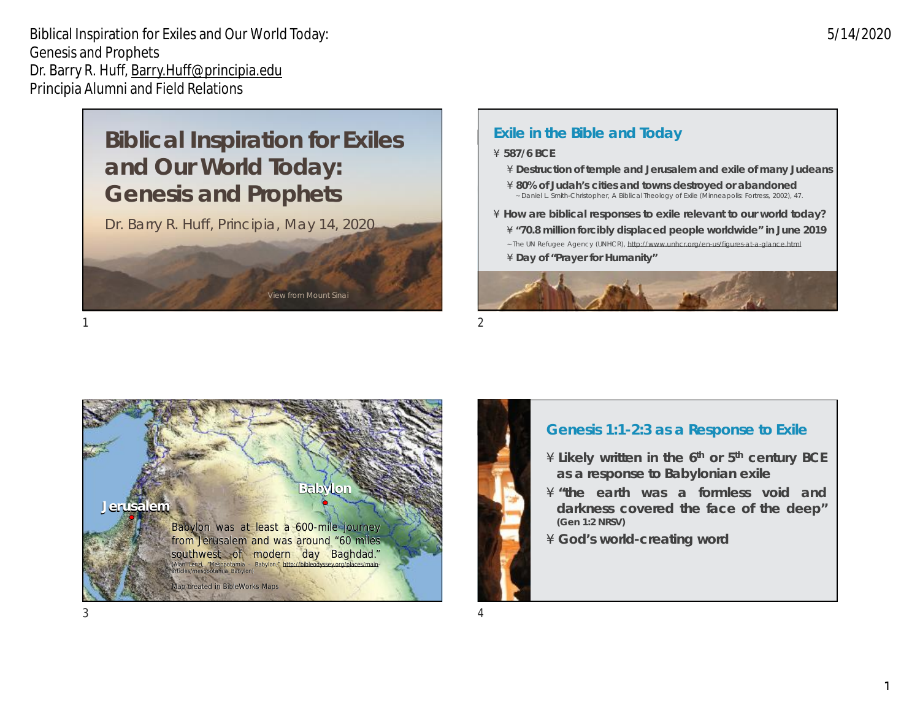# **Biblical Inspiration for Exiles and Our World Today: Genesis and Prophets**

Dr. Barry R. Huff, Principia, May 14, 2020

**Sea** *Sea**Sinai* **Company** Sinai

**Mt. Sinai**

## ´**587/6 BCE**

**Exile in the Bible and Today**

- ´**Destruction of temple and Jerusalem and exile of many Judeans**
- ´**80% of Judah's cities and towns destroyed or abandoned**  ~ Daniel L. Smith-Christopher, *A Biblical Theology of Exile* (Minneapolis: Fortress, 2002), 47.
- ´**How are biblical responses to exile relevant to our world today?**
	- ´**"70.8 million forcibly displaced people worldwide" in June 2019**
	- ~ The UN Refugee Agency (UNHCR), <http://www.unhcr.org/en-us/figures-at-a-glance.html>
	- ´**Day of "Prayer for Humanity"**



 $1$ 



# **Genesis 1:1-2:3 as a Response to Exile**

- ´**Likely written in the 6th or 5th century BCE as a response to Babylonian exile**
- ´**"the earth was a formless void and darkness covered the face of the deep" (Gen 1:2 NRSV)**
- ´**God's world-creating word**

5/14/2020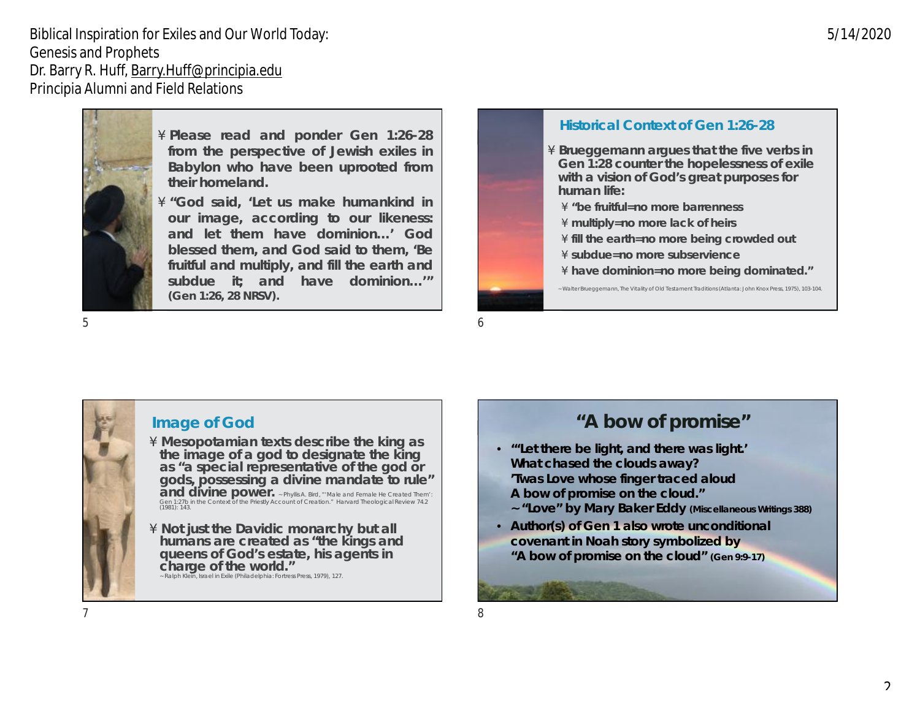

´**Please read and ponder Gen 1:26-28 from the perspective of Jewish exiles in Babylon who have been uprooted from their homeland.**

´**"God said, 'Let us make humankind in our image, according to our likeness: and let them have dominion…' God blessed them, and God said to them, 'Be fruitful and multiply, and fill the earth and subdue it; and have dominion…'" (Gen 1:26, 28 NRSV).**

 $5\,$ 



#### **Image of God**

´**Mesopotamian texts describe the king as the image of a god to designate the king as "a special representative of the god or gods, possessing a divine mandate to rule" and divine power.** <sup>~</sup> Phyllis A. Bird, "'Male and Female He Created Them': Gen 1:27b in the Context of the Priestly Account of Creation." *Harvard Theological Review* 74.2 (1981): 143.

´**Not just the Davidic monarchy but all humans are created as "the kings and queens of God's estate, his agents in charge of the world."**  ~ Ralph Klein, *Israel in Exile* (Philadelphia: Fortress Press, 1979), 127.

# **Historical Context of Gen 1:26-28**

´**Brueggemann argues that the five verbs in Gen 1:28 counter the hopelessness of exile with a vision of God's great purposes for human life:**

- ´**"be fruitful=no more barrenness**
- ´**multiply=no more lack of heirs**
- ´**fill the earth=no more being crowded out**
- ´**subdue=no more subservience**
- ´**have dominion=no more being dominated."** *~* Walter Brueggemann, *The Vitality of Old Testament Traditions* (Atlanta: John Knox Press, 1975), 103-104.

# **"A bow of promise"**

- **"'Let there be light, and there was light.' What chased the clouds away? 'Twas Love whose finger traced aloud A bow of promise on the cloud."** 
	- **~ "Love" by Mary Baker Eddy (***Miscellaneous Writings* **388)**
- **Author(s) of Gen 1 also wrote unconditional covenant in Noah story symbolized by "A bow of promise on the cloud" (Gen 9:9-17)**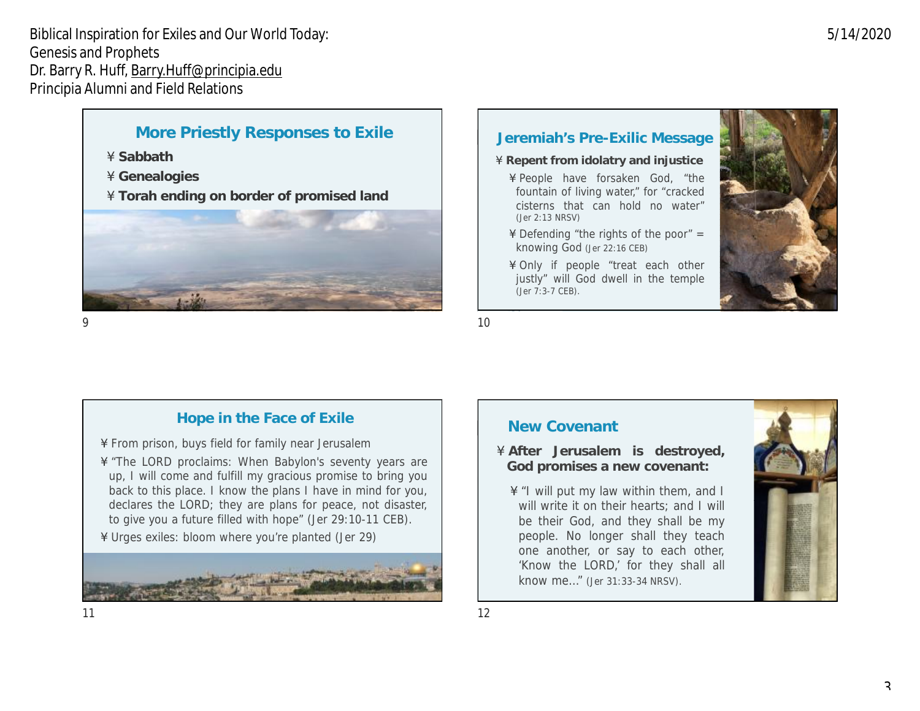# **More Priestly Responses to Exile**

- ´**Sabbath**
- ´**Genealogies**
- ´**Torah ending on border of promised land**



#### **Jeremiah's Pre-Exilic Message**

- ´**Repent from idolatry and injustice**
- ´People have forsaken God, "the fountain of living water," for "cracked cisterns that can hold no water" (Jer 2:13 NRSV)
- $\hat{ }$  Defending "the rights of the poor" = knowing God (Jer 22:16 CEB)
- ´Only if people "treat each other justly" will God dwell in the temple (Jer 7:3-7 CEB).



 $9$  10

#### **Hope in the Face of Exile**

- ´From prison, buys field for family near Jerusalem
- ´"The LORD proclaims: When Babylon's seventy years are up, I will come and fulfill my gracious promise to bring you back to this place. I know the plans I have in mind for you, declares the LORD; they are plans for peace, not disaster, to give you a future filled with hope" (Jer 29:10-11 CEB).
- ´Urges exiles: bloom where you're planted (Jer 29)



### **New Covenant**

´**After Jerusalem is destroyed, God promises a new covenant:**

´"I will put my law within them, and I will write it on their hearts; and I will be their God, and they shall be my people. No longer shall they teach one another, or say to each other, 'Know the LORD,' for they shall all know me…" (Jer 31:33-34 NRSV).



5/14/2020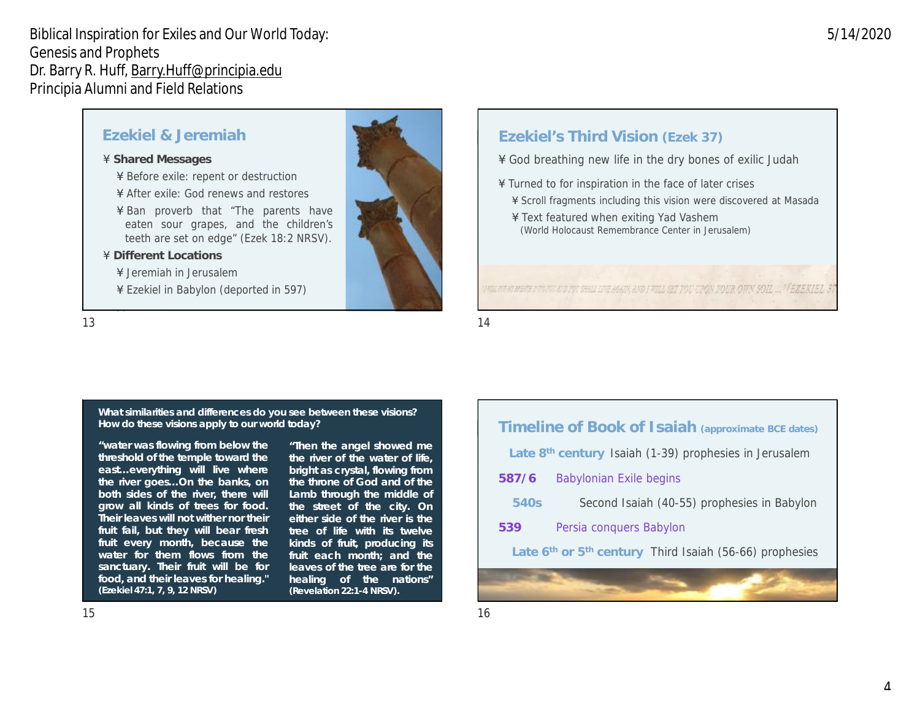#### **Ezekiel & Jeremiah**

- ´**Shared Messages**
	- Before exile: repent or destruction
	- ´After exile: God renews and restores
	- ´Ban proverb that "The parents have eaten sour grapes, and the children's teeth are set on edge" (Ezek 18:2 NRSV).
- ´**Different Locations**
	- ´Jeremiah in Jerusalem
	- ´Ezekiel in Babylon (deported in 597)



#### **Ezekiel's Third Vision (Ezek 37)**

- ´God breathing new life in the dry bones of exilic Judah<sup>e</sup>
- ´Turned to for inspiration in the face of later crises
	- ´Scroll fragments including this vision were discovered at Masada
	- ´Text featured when exiting Yad Vashem (World Holocaust Remembrance Center in Jerusalem)

#### I MILITENT MENTE INTOVOLIBIDI POLI SELLI INDIALISMA AND I MILI SET YOU UPON FOUR OWN SOIL ... " FEZEKI EL 3

 $13$  and  $14$ 

**What similarities and differences do you see between these visions? How do these visions apply to our world today?**

**"water was flowing from below the threshold of the temple toward the east…everything will live where the river goes…On the banks, on both sides of the river, there will grow all kinds of trees for food. Their leaves will not wither nor their fruit fail, but they will bear fresh fruit every month, because the water for them flows from the sanctuary. Their fruit will be for food, and their leaves for healing." (Ezekiel 47:1, 7, 9, 12 NRSV)**

**"Then the angel showed me the river of the water of life, bright as crystal, flowing from the throne of God and of the Lamb through the middle of the street of the city. On either side of the river is the tree of life with its twelve kinds of fruit, producing its fruit each month; and the leaves of the tree are for the healing of the nations" (Revelation 22:1-4 NRSV).**

| Timeline of Book of Isaiah (approximate BCE dates)                 |                                             |
|--------------------------------------------------------------------|---------------------------------------------|
| Late 8 <sup>th</sup> century Isaiah (1-39) prophesies in Jerusalem |                                             |
| 587/6                                                              | <b>Babylonian Exile begins</b>              |
| 540s                                                               | Second Isaiah (40-55) prophesies in Babylon |
| 539                                                                | Persia conquers Babylon                     |
| Late 6th or 5th century Third Isaiah (56-66) prophesies            |                                             |
|                                                                    |                                             |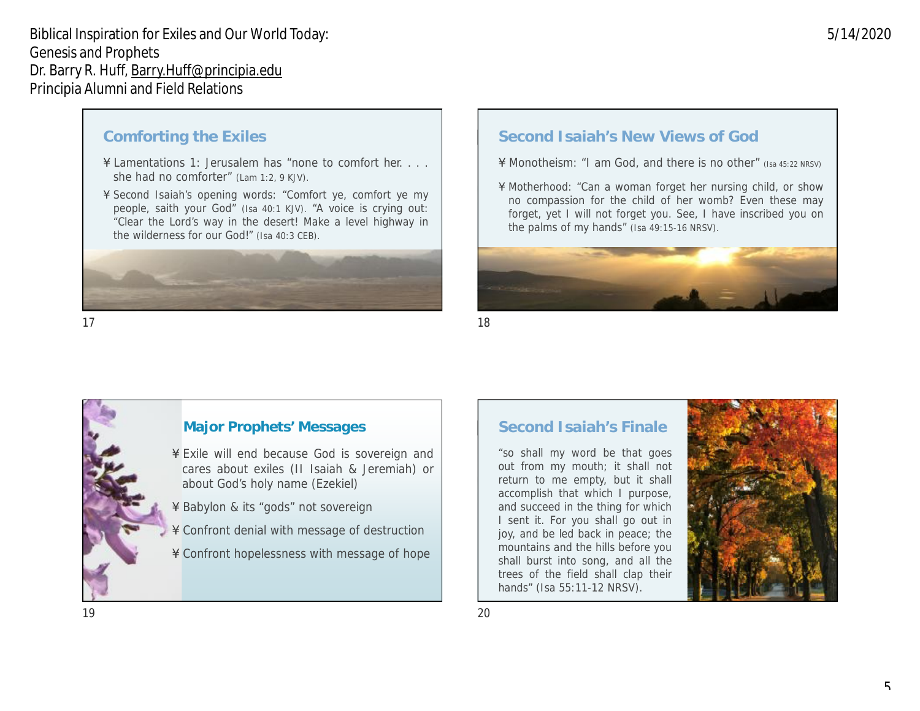#### **Comforting the Exiles**

- ´Lamentations 1: Jerusalem has "none to comfort her.... she had no comforter" (Lam 1:2, 9 KJV).
- ´Second Isaiah's opening words: "Comfort ye, comfort ye my people, saith your God" (Isa 40:1 KJV). "A voice is crying out: "Clear the Lord's way in the desert! Make a level highway in the wilderness for our God!" (Isa 40:3 CEB).



#### $17$  and  $18$

# **Second Isaiah's New Views of God**

- ´Monotheism: "I am God, and there is no other" (Isa 45:22 NRSV)
- ´Motherhood: "Can a woman forget her nursing child, or show no compassion for the child of her womb? Even these may forget, yet I will not forget you. See, I have inscribed you on the palms of my hands" (Isa 49:15-16 NRSV).



#### **Major Prophets' Messages**

- Exile will end because God is sovereign and cares about exiles (II Isaiah & Jeremiah) or about God's holy name (Ezekiel)
- Babylon & its "gods" not sovereign
- Confront denial with message of destruction
- Confront hopelessness with message of hope

#### **Second Isaiah's Finale**

"so shall my word be that goes out from my mouth; it shall not return to me empty, but it shall accomplish that which I purpose, and succeed in the thing for which I sent it. For you shall go out in joy, and be led back in peace; the mountains and the hills before you shall burst into song, and all the trees of the field shall clap their hands" (Isa 55:11-12 NRSV).